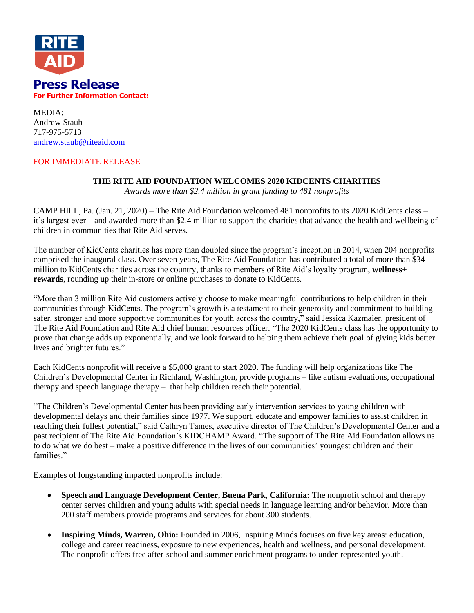

MEDIA: Andrew Staub 717-975-5713 [andrew.staub@riteaid.com](mailto:andrew.staub@riteaid.com)

# FOR IMMEDIATE RELEASE

# **THE RITE AID FOUNDATION WELCOMES 2020 KIDCENTS CHARITIES**

*Awards more than \$2.4 million in grant funding to 481 nonprofits*

CAMP HILL, Pa. (Jan. 21, 2020) – The Rite Aid Foundation welcomed 481 nonprofits to its 2020 KidCents class – it's largest ever – and awarded more than \$2.4 million to support the charities that advance the health and wellbeing of children in communities that Rite Aid serves.

The number of KidCents charities has more than doubled since the program's inception in 2014, when 204 nonprofits comprised the inaugural class. Over seven years, The Rite Aid Foundation has contributed a total of more than \$34 million to KidCents charities across the country, thanks to members of Rite Aid's loyalty program, **wellness+ rewards**, rounding up their in-store or online purchases to donate to KidCents.

"More than 3 million Rite Aid customers actively choose to make meaningful contributions to help children in their communities through KidCents. The program's growth is a testament to their generosity and commitment to building safer, stronger and more supportive communities for youth across the country," said Jessica Kazmaier, president of The Rite Aid Foundation and Rite Aid chief human resources officer. "The 2020 KidCents class has the opportunity to prove that change adds up exponentially, and we look forward to helping them achieve their goal of giving kids better lives and brighter futures."

Each KidCents nonprofit will receive a \$5,000 grant to start 2020. The funding will help organizations like The Children's Developmental Center in Richland, Washington, provide programs – like autism evaluations, occupational therapy and speech language therapy – that help children reach their potential.

"The Children's Developmental Center has been providing early intervention services to young children with developmental delays and their families since 1977. We support, educate and empower families to assist children in reaching their fullest potential," said Cathryn Tames, executive director of The Children's Developmental Center and a past recipient of The Rite Aid Foundation's KIDCHAMP Award. "The support of The Rite Aid Foundation allows us to do what we do best – make a positive difference in the lives of our communities' youngest children and their families."

Examples of longstanding impacted nonprofits include:

- **Speech and Language Development Center, Buena Park, California:** The nonprofit school and therapy center serves children and young adults with special needs in language learning and/or behavior. More than 200 staff members provide programs and services for about 300 students.
- **Inspiring Minds, Warren, Ohio:** Founded in 2006, Inspiring Minds focuses on five key areas: education, college and career readiness, exposure to new experiences, health and wellness, and personal development. The nonprofit offers free after-school and summer enrichment programs to under-represented youth.